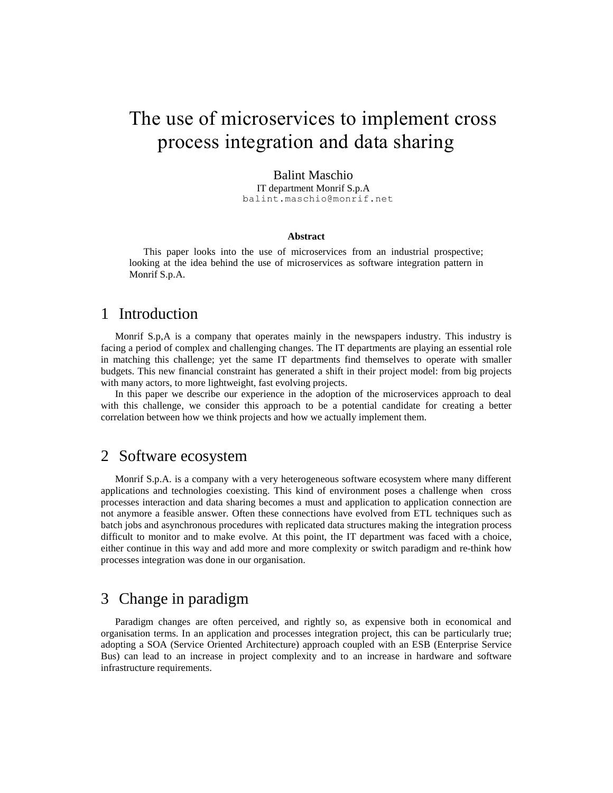# The use of microservices to implement cross process integration and data sharing

#### Balint Maschio

IT department Monrif S.p.A balint.maschio@monrif.net

#### **Abstract**

This paper looks into the use of microservices from an industrial prospective; looking at the idea behind the use of microservices as software integration pattern in Monrif S.p.A.

### 1 Introduction

Monrif S.p,A is a company that operates mainly in the newspapers industry. This industry is facing a period of complex and challenging changes. The IT departments are playing an essential role in matching this challenge; yet the same IT departments find themselves to operate with smaller budgets. This new financial constraint has generated a shift in their project model: from big projects with many actors, to more lightweight, fast evolving projects.

In this paper we describe our experience in the adoption of the microservices approach to deal with this challenge, we consider this approach to be a potential candidate for creating a better correlation between how we think projects and how we actually implement them.

#### 2 Software ecosystem

Monrif S.p.A. is a company with a very heterogeneous software ecosystem where many different applications and technologies coexisting. This kind of environment poses a challenge when cross processes interaction and data sharing becomes a must and application to application connection are not anymore a feasible answer. Often these connections have evolved from ETL techniques such as batch jobs and asynchronous procedures with replicated data structures making the integration process difficult to monitor and to make evolve. At this point, the IT department was faced with a choice, either continue in this way and add more and more complexity or switch paradigm and re-think how processes integration was done in our organisation.

## 3 Change in paradigm

Paradigm changes are often perceived, and rightly so, as expensive both in economical and organisation terms. In an application and processes integration project, this can be particularly true; adopting a SOA (Service Oriented Architecture) approach coupled with an ESB (Enterprise Service Bus) can lead to an increase in project complexity and to an increase in hardware and software infrastructure requirements.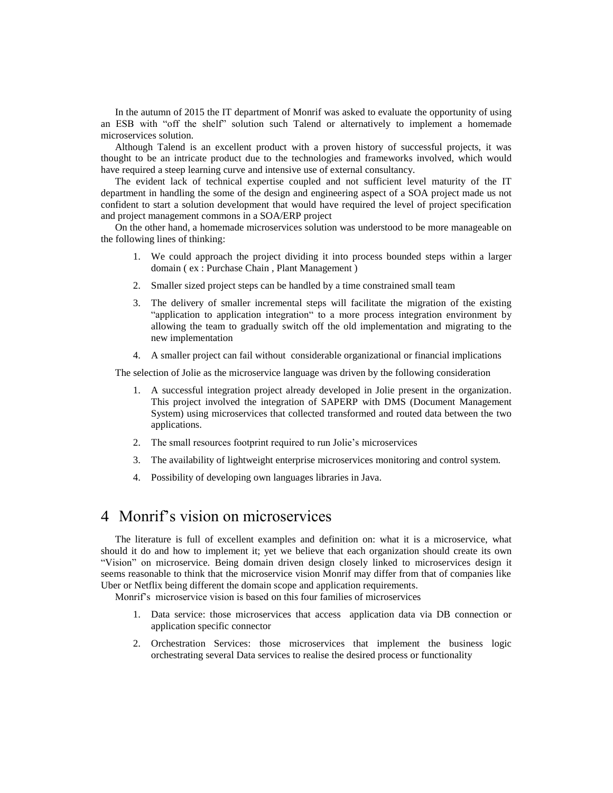In the autumn of 2015 the IT department of Monrif was asked to evaluate the opportunity of using an ESB with "off the shelf" solution such Talend or alternatively to implement a homemade microservices solution.

Although Talend is an excellent product with a proven history of successful projects, it was thought to be an intricate product due to the technologies and frameworks involved, which would have required a steep learning curve and intensive use of external consultancy.

The evident lack of technical expertise coupled and not sufficient level maturity of the IT department in handling the some of the design and engineering aspect of a SOA project made us not confident to start a solution development that would have required the level of project specification and project management commons in a SOA/ERP project

On the other hand, a homemade microservices solution was understood to be more manageable on the following lines of thinking:

- 1. We could approach the project dividing it into process bounded steps within a larger domain ( ex : Purchase Chain , Plant Management )
- 2. Smaller sized project steps can be handled by a time constrained small team
- 3. The delivery of smaller incremental steps will facilitate the migration of the existing "application to application integration" to a more process integration environment by allowing the team to gradually switch off the old implementation and migrating to the new implementation
- 4. A smaller project can fail without considerable organizational or financial implications

The selection of Jolie as the microservice language was driven by the following consideration

- 1. A successful integration project already developed in Jolie present in the organization. This project involved the integration of SAPERP with DMS (Document Management System) using microservices that collected transformed and routed data between the two applications.
- 2. The small resources footprint required to run Jolie's microservices
- 3. The availability of lightweight enterprise microservices monitoring and control system.
- 4. Possibility of developing own languages libraries in Java.

# 4 Monrif's vision on microservices

The literature is full of excellent examples and definition on: what it is a microservice, what should it do and how to implement it; yet we believe that each organization should create its own "Vision" on microservice. Being domain driven design closely linked to microservices design it seems reasonable to think that the microservice vision Monrif may differ from that of companies like Uber or Netflix being different the domain scope and application requirements.

Monrif's microservice vision is based on this four families of microservices

- 1. Data service: those microservices that access application data via DB connection or application specific connector
- 2. Orchestration Services: those microservices that implement the business logic orchestrating several Data services to realise the desired process or functionality